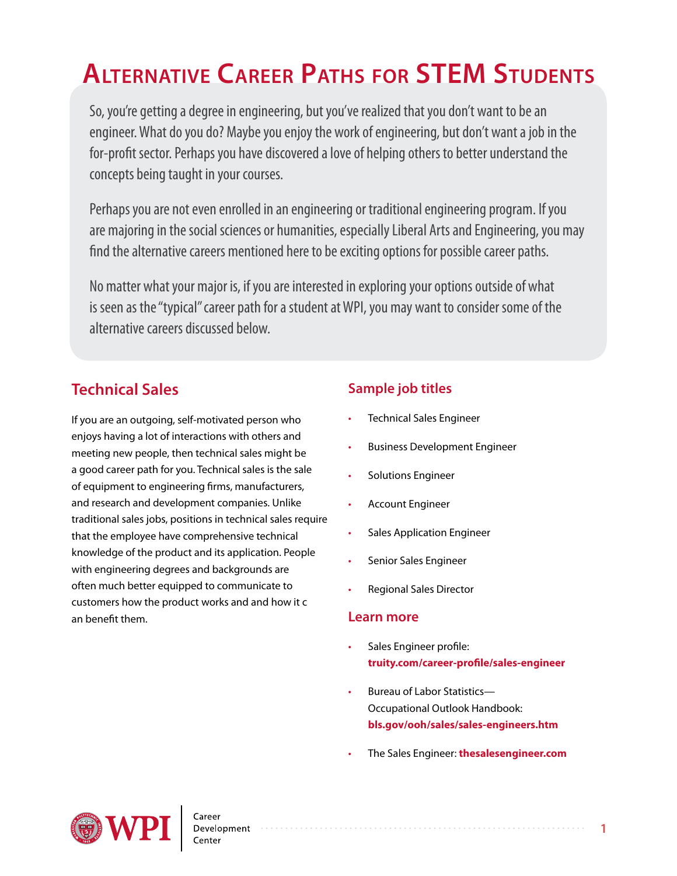# **Alternative Career Paths for STEM Students**

So, you're getting a degree in engineering, but you've realized that you don't want to be an engineer. What do you do? Maybe you enjoy the work of engineering, but don't want a job in the for-profit sector. Perhaps you have discovered a love of helping others to better understand the concepts being taught in your courses.

Perhaps you are not even enrolled in an engineering or traditional engineering program. If you are majoring in the social sciences or humanities, especially Liberal Arts and Engineering, you may find the alternative careers mentioned here to be exciting options for possible career paths.

No matter what your major is, if you are interested in exploring your options outside of what is seen as the "typical" career path for a student at WPI, you may want to consider some of the alternative careers discussed below.

# **Technical Sales**

If you are an outgoing, self-motivated person who enjoys having a lot of interactions with others and meeting new people, then technical sales might be a good career path for you. Technical sales is the sale of equipment to engineering firms, manufacturers, and research and development companies. Unlike traditional sales jobs, positions in technical sales require that the employee have comprehensive technical knowledge of the product and its application. People with engineering degrees and backgrounds are often much better equipped to communicate to customers how the product works and and how it c an benefit them.

# **Sample job titles**

- Technical Sales Engineer
- Business Development Engineer
- Solutions Engineer
- Account Engineer
- Sales Application Engineer
- Senior Sales Engineer
- Regional Sales Director

#### **Learn more**

- Sales Engineer profile: **[truity.com/career-profile/sales-engineer](http://truity.com/career-profile/sales-engineer )**
- Bureau of Labor Statistics— Occupational Outlook Handbook: **[bls.gov/ooh/sales/sales-engineers.htm](http://www.bls.gov/ooh/sales/sales-engineers.htm)**
- The Sales Engineer: **[thesalesengineer.com](http://www.thesalesengineer.com/)**

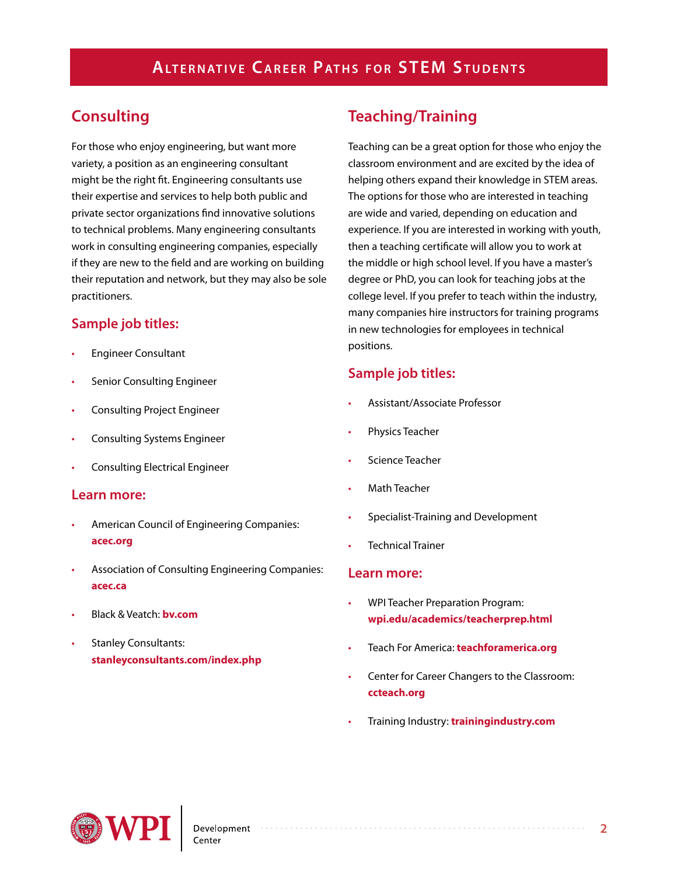# **Consulting**

For those who enjoy engineering, but want more variety, a position as an engineering consultant might be the right fit. Engineering consultants use their expertise and services to help both public and private sector organizations find innovative solutions to technical problems. Many engineering consultants work in consulting engineering companies, especially if they are new to the field and are working on building their reputation and network, but they may also be sole practitioners.

## **Sample job titles:**

- Engineer Consultant
- Senior Consulting Engineer
- Consulting Project Engineer
- Consulting Systems Engineer
- Consulting Electrical Engineer

#### **Learn more:**

- American Council of Engineering Companies: **[acec.org](http://www.acec.org/)**
- Association of Consulting Engineering Companies: **[acec.ca](http://acec.ca/)**
- Black & Veatch: **[bv.com](http://bv.com/)**
- Stanley Consultants: **[stanleyconsultants.com/index.php](http://stanleyconsultants.com/index.php/)**

# **Teaching/Training**

Teaching can be a great option for those who enjoy the classroom environment and are excited by the idea of helping others expand their knowledge in STEM areas. The options for those who are interested in teaching are wide and varied, depending on education and experience. If you are interested in working with youth, then a teaching certificate will allow you to work at the middle or high school level. If you have a master's degree or PhD, you can look for teaching jobs at the college level. If you prefer to teach within the industry, many companies hire instructors for training programs in new technologies for employees in technical positions.

## **Sample job titles:**

- Assistant/Associate Professor
- Physics Teacher
- Science Teacher
- **Math Teacher**
- Specialist-Training and Development
- Technical Trainer

#### **Learn more:**

- WPI Teacher Preparation Program: **[wpi.edu/academics/teacherprep.html](http://www.wpi.edu/academics/teacherprep.html)**
- Teach For America: **[teachforamerica.org](https://www.teachforamerica.org/)**
- Center for Career Changers to the Classroom: **[ccteach.org](http://www.ccteach.org/)**
- Training Industry: **[trainingindustry.com](www.trainingindustry.com/)**

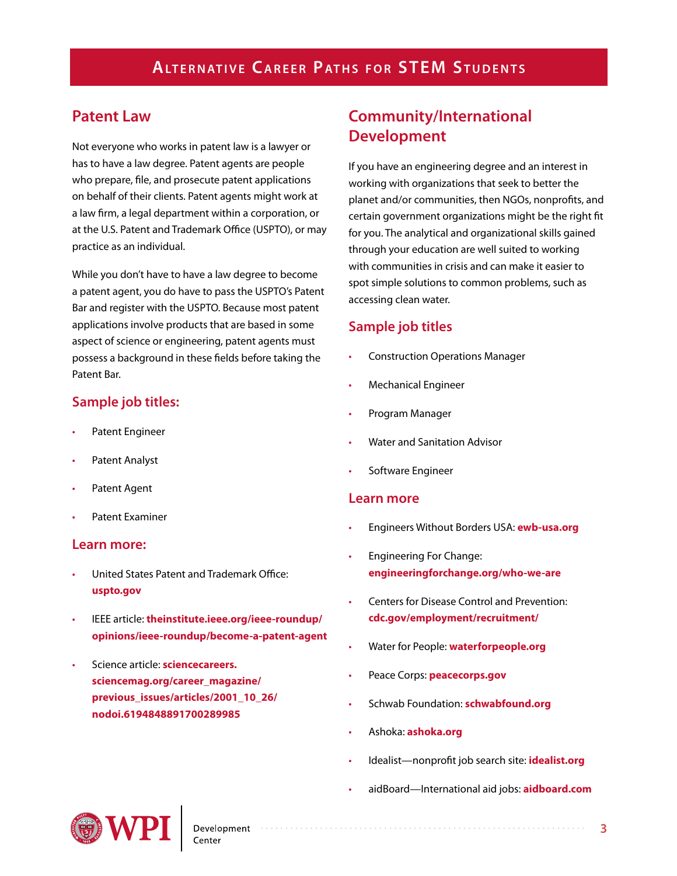# **Patent Law**

Not everyone who works in patent law is a lawyer or has to have a law degree. Patent agents are people who prepare, file, and prosecute patent applications on behalf of their clients. Patent agents might work at a law firm, a legal department within a corporation, or at the U.S. Patent and Trademark Office (USPTO), or may practice as an individual.

While you don't have to have a law degree to become a patent agent, you do have to pass the USPTO's Patent Bar and register with the USPTO. Because most patent applications involve products that are based in some aspect of science or engineering, patent agents must possess a background in these fields before taking the Patent Bar.

## **Sample job titles:**

- Patent Engineer
- Patent Analyst
- Patent Agent
- Patent Fxaminer

#### **Learn more:**

- United States Patent and Trademark Office: **[uspto.gov](http://www.uspto.gov/)**
- IEEE article: **[theinstitute.ieee.org/ieee-roundup/](http://theinstitute.ieee.org/ieee-roundup/opinions/ieee-roundup/become-a-patent-agent) [opinions/ieee-roundup/become-a-patent-agent](http://theinstitute.ieee.org/ieee-roundup/opinions/ieee-roundup/become-a-patent-agent)**
- Science article: **[sciencecareers.](http://sciencecareers.sciencemag.org/career_magazine/previous_issues/articles/2001_10_26/nodoi.6194848891700289985) [sciencemag.org/career\\_magazine/](http://sciencecareers.sciencemag.org/career_magazine/previous_issues/articles/2001_10_26/nodoi.6194848891700289985) [previous\\_issues/articles/2001\\_10\\_26/](http://sciencecareers.sciencemag.org/career_magazine/previous_issues/articles/2001_10_26/nodoi.6194848891700289985) [nodoi.6194848891700289985](http://sciencecareers.sciencemag.org/career_magazine/previous_issues/articles/2001_10_26/nodoi.6194848891700289985)**

# **Community/International Development**

If you have an engineering degree and an interest in working with organizations that seek to better the planet and/or communities, then NGOs, nonprofits, and certain government organizations might be the right fit for you. The analytical and organizational skills gained through your education are well suited to working with communities in crisis and can make it easier to spot simple solutions to common problems, such as accessing clean water.

### **Sample job titles**

- Construction Operations Manager
- Mechanical Engineer
- Program Manager
- Water and Sanitation Advisor
- Software Engineer

#### **Learn more**

- Engineers Without Borders USA: **[ewb-usa.org](http://www.ewb-usa.org/)**
- Engineering For Change: **[engineeringforchange.org/who-we-are](http://www.engineeringforchange.org/who-we-are/)**
- Centers for Disease Control and Prevention: **[cdc.gov/employment/recruitment/](http://www.cdc.gov/employment/recruitment/)**
- Water for People: **[waterforpeople.org](https://www.waterforpeople.org/
)**
- Peace Corps: **[peacecorps.gov](http://www.peacecorps.gov/)**
- Schwab Foundation: **[schwabfound.org](http://www.schwabfound.org/)**
- Ashoka: **[ashoka.org](https://www.ashoka.org/)**
- Idealist—nonprofit job search site: **[idealist.org](http://www.idealist.org/)**
- aidBoard—International aid jobs: **[aidboard.com](http://www.aidboard.com/)**